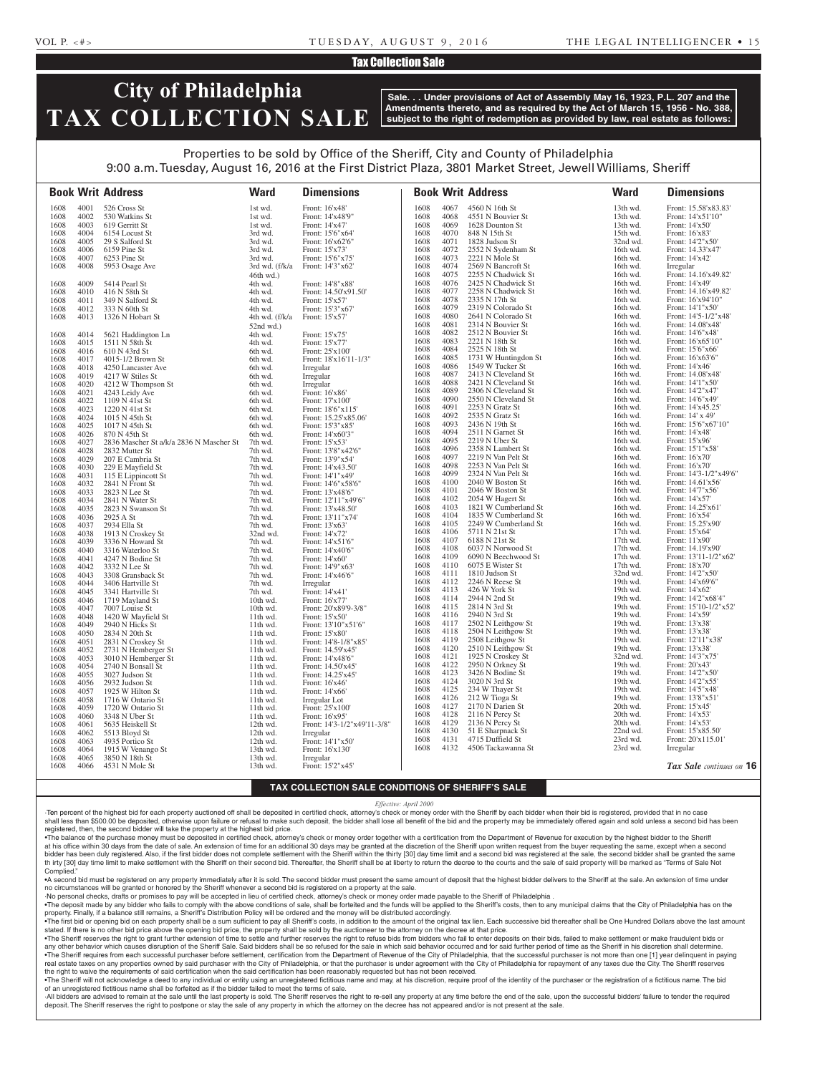#### Tax Collection Sale

### **City of Philadelphia TAX COLLECTION SALE**

**Sale. . . Under provisions of Act of Assembly May 16, 1923, P.L. 207 and the Amendments thereto, and as required by the Act of March 15, 1956 - No. 388, subject to the right of redemption as provided by law, real estate as follows:**

### Properties to be sold by Office of the Sheriff, City and County of Philadelphia 9:00 a.m. Tuesday, August 16, 2016 at the First District Plaza, 3801 Market Street, Jewell Williams, Sheriff

**Book Writ Address Ward Dimensions Book Writ Address Ward Dimensions** 1608 4001 526 Cross St 1st wd. Front: 16'x48'<br>1608 4002 530 Watkins St 1st wd. Front: 14'x48' 1608 4002 530 Watkins St 1st wd. Front: 14'x48'9'<br>1608 4003 619 Gerritt St 1st wd. Front: 14'x47' 1608 4003 619 Gerritt St 1st wd. Front: 14'x47'<br>1608 4004 6154 Locust St 3rd wd. Front: 15'6"x64' 1608 4004 6154 Locust St 3rd wd.<br>1608 4005 29 S Salford St 3rd wd. 3rd wd. 1608 4005 29 S Salford St 3rd wd. Front: 16'x62'6" 1608 4006 6159 Pine St 3rd wd. Front: 15'x73' 1608 4007 6253 Pine St<br>1608 4008 5953 Osage Ave 3rd wd. (f/k/a Front: 14'3"x62 1608 4008 5953 Osage Ave 46th wd.) Front: 14'3"x62' 1608 4009 5414 Pearl St 4th wd. Front: 14'8"x88'<br>1608 4010 416 N 58th St 4th wd. Front: 14.50'x91 Front: 14.50'x91.50'<br>Front: 15'x57' 1608 4011 349 N Salford St 4th wd 1608 4012 333 N 60th St 4th wd. Front: 15'3"x67'<br>1608 4013 1326 N Hobart St 4th wd. (f/k/a Front: 15'x57' 1608 4013 1326 N Hobart St 52nd wd.) Front: 15'x57' 1608 4014 5621 Haddington Ln 4th wd. Front: 15'x75' 1608 4015 1511 N 58th St<br>1608 4016 610 N 43rd St 6th wd. Front: 25'x100' 1608 4017 4015-1/2 Brown St 6th wd. Front:  $18'x16'11-1/3''$ 1608 4018 4250 Lancaster Ave 6th wd. Irregular 1608 4019 4217 W Stiles St 6th wd. Irregular 1608 4019 4217 W Stiles St 6th wd. Irregular<br>1608 4020 4212 W Thompson St 6th wd. Irregular 1608 4020 4212 W Thompson St 6th wd. Irregular<br>1608 4021 4243 Leidy Ave 6th wd. Front: 16'x86' 1608 4021 4243 Leidy Ave 6th wd. Front: 16'x86'<br>1608 4022 1109 N 41st St 6th wd. Front: 17'x100' 1608 4022 1109 N 41st St 6th wd.<br>1608 4023 1220 N 41st St 6th wd. 1608 4023 1220 N 41st St 6th wd. Front: 18'6"x115'<br>1608 4024 1015 N 45th St 6th wd. Front: 15.25'x85.0 1015 N 45th St 6th wd. Front: 15.25'x85.06'<br>1017 N 45th St 6th wd. Front: 15'3"x85' 1608 4025 1017 N 45th St 6th wd. Front: 15'3"x85' 1608 4026 870 N 45th St 6th wd. Front: 14'x60'3' 1608 4027 2836 Mascher St a/k/a 2836 N Mascher St 7th wd. Front: 15'x53' 1608 4028 2832 Mutter St 7th wd. Front: 13'8"x42'6" 1608 4029 207 E Cambria St 7th wd. Front: 13'9"x54' 1608 4030 229 E Mayfield St 7th wd. Front: 14'x43.50' 1608 4030 229 E Mayfield St 7th wd. Front: 14'x43.50<br>
1608 115 E Lippincott St 7th wd. Front: 14'1"x49" 1608 4031 115 E Lippincott St 7th wd.<br>1608 4032 2841 N Front St 7th wd. 1608 4032 2841 N Front St 7th wd. Front: 14'6"x58'6"<br>
1608 4033 2823 N Lee St 7th wd. Front: 13'x48'6" 1608 4033 2823 N Lee St 7th wd. Front: 13'x48'6" 7th wd. Front: 12'11"x49'6" 1608 4035 2823 N Swanson St 7th wd. Front: 13'x48.50' 1608 4036 2925 A St 7th wd. Front: 13'11"x74' 1608 4037 2934 Ella St 7th wd. Front: 13'x63'<br>1608 4038 1913 N Croskey St 32nd wd. Front: 14'x72' 1608 4038 1913 N Croskey St 32nd wd. Front: 14'x72' 1608 3336 N Howard St 7th wd. 1608 4040 3316 Waterloo St 7th wd. Front: 14'x40'6" 1608 4041 4247 N Bodine St 7th wd. Front: 14'x60' 1608 4042 3332 N Lee St 7th wd. Front: 14'9"x63' 1608 4043 3308 Gransback St 7th wd. Front: 14<br>1608 4044 3406 Hartville St 7th wd. Irregular 1608 4044 3406 Hartville St 7th wd. Irregular<br>1608 4045 3341 Hartville St 7th wd. Front: 14'x41' 1608 4045 3341 Hartville St 7th wd. Front: 14'x41'<br>1608 4046 1719 Mayland St 10th wd. Front: 16'x77' 1608 4046 1719 Mayland St 10th wd.<br>1608 4047 7007 Louise St 10th wd. Front: 20'x89'9-3/8"<br>Front: 15'x50' 1608 4048 1420 W Mayfield St 11th wd. 1608 4049 2940 N Hicks St 11th wd. Front: 13'10"x51'6" 1608 4050 2834 N 20th St 11th wd. Front: 15'x80' 1608 4051 2831 N Croskey St 11th wd. Front: 14'8-1/8"x85' 1608 4052 2731 N Hemberger St 11th wd. Front: 14.59'x45<br>1608 4053 3010 N Hemberger St 11th wd. Front: 14'x48'6" 4053 3010 N Hemberger St<br>4054 2740 N Bonsall St 1608 4054 2740 N Bonsall St 11th wd. Front: 14.50'x45<br>1608 4055 3027 Judson St 11th wd. Front: 14.50'x45 1608 4055 3027 Judson St 11th wd. Front: 14.25'x45' 1608 4056 2932 Judson St 11th wd. Front: 16'x46' 1925 W Hilton St 11th wd. 1608 4058 1716 W Ontario St 11th wd. Irregular Lot 1608 4059 1720 W Ontario St 11th wd. Front: 25'x100 1608 4059 1720 W Ontario St 11th wd. Front: 25'x100<br>1608 4060 3348 N Uber St 11th wd. Front: 16'x95' 1608 4060 3348 N Uber St 11th wd.<br>1608 4061 5635 Heiskell St 12th wd. 1608 4061 5635 Heiskell St 12th wd. Front: 14'3-1/2"x49'11-3/8" 5513 Bloyd St 1608 4063 4935 Portico St 12th wd. Front: 14'1"x50' 1608 4064 1915 W Venango St 13th wd. Front: 16'x130'<br>1608 4065 3850 N 18th St 13th wd. Irregular 13th wd. Irregular<br>
1608 13th wd. Irregular<br>
1608 13th wd. Irregular<br>
1608 13th wd. Irregular 1608 4066 4531 N Mole St 13th wd. 1608 4067 4560 N 16th St 13th wd. Front: 15.58'x83.83'<br>1608 4068 4551 N Bouvier St 13th wd. Front: 14'x51'10" Front: 14'x51'10"<br>Front: 14'x50' 1608 4069 1628 Dounton St 13th wd.<br>1608 4070 848 N 15th St 15th wd. 1608 4070 848 N 15th St 15th wd. Front: 16'x83' 1608 4071 1828 Judson St 32nd wd. Front: 14'2"x50' 16th wd. 4072 2552 N Sydenham St 16th wd. 1608 4073 2221 N Mole St 16th wd. Front: 14'x42' 1608 4074 2569 N Bancroft St 16th wd. Irregular 1608 4075 2255 N Chadwick St 16th wd. Front: 14.16'x49.82' 1608 4075 2255 N Chadwick St 16th wd. Front: 14.16'x<br>1608 4076 2425 N Chadwick St 16th wd. Front: 14'x49' 1608 4076 2425 N Chadwick St 16th wd.<br>1608 4077 2258 N Chadwick St 16th wd. 1608 4077 2258 N Chadwick St 16th wd. Front: 14.16'x49.82' 1608 4078 2335 N 17th St 16th wd. Front: 16'x94'10" 1608 4079 2319 N Colorado St 16th wd. Front: 14'1"x50' 1608 4080 2641 N Colorado St 16th wd. Front: 14'5-1/2"x48' 16th wd. 4081 2314 N Bouvier St 16th wd. 1608 4082 2512 N Bouvier St 16th wd. Front: 14'6"x48"<br>1608 4083 2221 N 18th St 16th wd. Front: 16'x65'10 1608 4083 2221 N 18th St 16th wd. Front: 16'x65'10'<br>1608 4084 2525 N 18th St 16th wd. Front: 15'6"x66' 1608 4084 2525 N 18th St 16th wd. Front: 15'6"x66<br>1608 4085 1731 W Huntingdon St 16th wd. Front: 16'x63'6' 1608 4085 1731 W Huntingdon St 16th wd. Front: 16'x63'<br>1608 4086 1549 W Tucker St 16th wd. Front: 14'x46' 1549 W Tucker St 1608 4087 2413 N Cleveland St 16th wd. Front: 14.08'x48 1608 4088 2421 N Cleveland St 16th wd. Front: 14'1"x50<br>1608 4089 2306 N Cleveland St 16th wd. Front: 14'2"x47 1608 4089 2306 N Cleveland St 16th wd. Front: 14'2"x47' 1608 4090 2550 N Cleveland St 16th wd.<br>1608 4091 2253 N Gratz St 16th wd. 16th wd. Front: 14'x45.25<br>
16th wd. Front: 14'x45.25<br>
16th wd. Front: 14' x 49' 1608 4092 2535 N Gratz St 16th wd.<br>1608 4093 2436 N 19th St 16th wd. 1608 4093 2436 N 19th St 16th wd. Front: 15'6"x67'10"<br>1608 4094 2511 N Garnet St 16th wd. Front: 14'x48' 1608 4094 2511 N Garnet St 16th wd. Front: 14'x48'<br>1608 4095 2219 N Uber St 16th wd. Front: 15'x96' 2219 N Uber St 1608 4096 2358 N Lambert St 16th wd. Front: 15'1"x58' 1608 4097 2219 N Van Pelt St 16th wd. Front: 16'x70'<br>1608 4098 2253 N Van Pelt St 16th wd. Front: 16'x70' 1608 4098 2253 N Van Pelt St 16th wd.<br>1608 4099 2324 N Van Pelt St 16th wd. 1608 4099 2324 N Van Pelt St 16th wd. Front: 14'3-1/2"x49'6"<br>1608 4100 2040 W Boston St 16th wd. Front: 14.61'x56' 1608 4100 2040 W Boston St 16th wd. Front: 14.61'x56' 1608 4101 2046 W Boston St 16th wd. Front: 14'7"x.<br>1608 4102 2054 W Hagert St 16th wd. Front: 14'x57' 1608 4102 2054 W Hagert St 16th wd. Front: 14'x57' 1608 16103 1821 W Cumberland St 16th wd. Front: 14.25'x<br>4104 1835 W Cumberland St 16th wd. Front: 16'x54' 1608 4104 1835 W Cumberland St 16th wd. 1608 4105 2249 W Cumberland St 16th wd. Front: 15.25'x90' 1608 4106 5711 N 21st St 17th wd. Front: 15'x64' 1608 4107 6188 N 21st St 17th wd. Front: 11'x90'<br>1608 4108 6037 N Norwood St 17th wd. Front: 14.19'x90' 1608 4108 6037 N Norwood St 17th wd.<br>1608 4109 6090 N Beechwood St 17th wd. 1608 4109 6090 N Beechwood St 17th wd. Front: 13'11-1/2"x62'<br>1608 4110 6075 E Wister St 17th wd. Front: 18'x70' 1608 4110 6075 E Wister St 17th wd.<br>1608 4111 1810 Judson St 32nd wd 1608 4111 1810 Judson St 32nd wd. Front: 14'2"x50' 1608 4112 2246 N Reese St 19th wd. Front: 14'x69'<br>1608 4113 426 W York St 19th wd. Front: 14'x62' 19th wd.<br>
19th wd.<br>
19th wd.<br>
19th wd.<br>
19th wd.<br>
19th wd. 1608 4114 2944 N 2nd St 19th wd. Front: 14'2"x68'4" 1608 4115 2814 N 3rd St 19th wd. Front: 15'10-1/2"x52' 1608 4116 2940 N 3rd St 19th wd. Front: 14'x59'<br>1608 4117 2502 N Leithgow St 19th wd. Front: 13'x38' 1608 4117 2502 N Leithgow St 19th wd. Front: 13'x38'<br>1608 4118 2504 N Leithgow St 19th wd. Front: 13'x38' 2504 N Leithgow St 1608 4119 2508 Leithgow St 19th wd. Front: 12'11"x38' 1608 4120 2510 N Leithgow St 19th wd. Front: 13'x38' 1608 4121 1925 N Croskey St 32nd wd. Front: 14'3"x75 1608 4121 1925 N Croskey St 32nd wd. Front: 14'3"x7<br>1608 4122 2950 N Orkney St 19th wd. Front: 20'x43' 1608 4122 2950 N Orkney St 19th wd. Front: 20'x43'<br>1608 4123 3426 N Bodine St 19th wd. Front: 14'2"x50 1608 4123 3426 N Bodine St<br>1608 4124 3020 N 3rd St 1608 4124 3020 N 3rd St 19th wd. Front: 14'2"x55<br>1608 4125 234 W Thayer St 19th wd. Front: 14'5"x48 1608 4125 234 W Thayer St 19th wd. Front: 14'5"x48' 1608 4126 212 W Tioga St 19th wd. Front: 13'8"x5<br>1608 4127 2170 N Darien St 20th wd. Front: 15'x45' 2170 N Darien St 1608 4128 2116 N Percy St 20th wd. Front: 14'x53' 1608 4129 2136 N Percy St 20th wd. Front: 14'x53' 1608 4130 51 E Sharpnack St 22nd wd<br>1608 4131 4715 Duffield St 23rd wd. 1608 4131 4715 Duffield St 23rd wd. Front: 20'x115.01' 4506 Tackawanna St *Tax Sale continues on* **16**

#### **TAX COLLECTION SALE CONDITIONS OF SHERIFF'S SALE**

*Effective: April 2000*

·Ten percent of the highest bid for each property auctioned off shall be deposited in certified check, attorney's check or money order with the Sheriff by each bidder when their bid is registered, provided that in no case shall less than \$500.00 be deposited, otherwise upon failure or refusal to make such deposit, the bidder shall lose all benefit of the bid and the property may be immediately offered again and sold unless a second bid has registered, then, the second bidder will take the property at the highest bid price.

•The balance of the purchase money must be deposited in certified check, attorney's check or money order together with a certification from the Department of Revenue for execution by the highest bidder to the Sheriff at his office within 30 days from the date of sale. An extension of time for an additional 30 days may be granted at the discretion of the Sheriff upon written request from the buyer requesting the same, except when a seco bidder has been duly registered. Also, if the first bidder does not complete settlement with the Sheriff within the thirty [30] day time limit and a second bid was registered at the sale, the second bidder shall be granted th irty [30] day time limit to make settlement with the Sheriff on their second bid. Thereafter, the Sheriff shall be at liberty to return the decree to the courts and the sale of said property will be marked as "Terms of Complied.

•A second bid must be registered on any property immediately after it is sold. The second bidder must present the same amount of deposit that the highest bidder delivers to the Sheriff at the sale. An extension of time under no circumstances will be granted or honored by the Sheriff whenever a second bid is registered on a property at the sale.

·No personal checks, drafts or promises to pay will be accepted in lieu of certified check, attorney's check or money order made payable to the Sheriff of Philadelphia . . The deposit made by any bidder who fails to comply with the above conditions of sale, shall be forteited and the funds will be applied to the Sheriff's costs, then to any municipal claims that the City of Philadelphia ha

property. Finally, if a balance still remains, a Sheriff's Distribution Policy will be ordered and the money will be distributed accordingly. . The first bid or opening bid on each property shall be a sum sufficient to pay all Sheriff's costs, in addition to the amount of the original tax lien. Each successive bid thereafter shall be One Hundred Dollars above th

stated. If there is no other bid price above the opening bid price, the property shall be sold by the auctioneer to the attorney on the decree at that price. . The Sheriff reserves the right to grant further extension of time to settle and further reserves the right to refuse bids from bidders who fail to enter deposits on their bids. failed to make settlement or make fraudulen any other behavior which causes disruption of the Sheriff Sale. Said bidders shall be so refused for the sale in which said behavior occurred and for said further period of time as the Sheriff in his discretion shall deter

. The Sheriff requires from each successful purchaser before settlement, certification from the Department of Revenue of the City of Philadelphia, that the successful purchaser is not more than one [1] year delinquent in p real estate taxes on any properties owned by said purchaser with the City of Philadelphia, or that the purchaser is under agreement with the City of Philadelphia for repayment of any taxes due the City. The Sheriff reserve the right to waive the requirements of said certification when the said certification has been reasonably requested but has not been received.

. The Sheriff will not acknowledge a deed to any individual or entity using an unregistered fictitious name and may, at his discretion, require proof of the identity of the purchaser or the registration of a fictitious nam of an unregistered fictitious name shall be forfeited as if the bidder failed to meet the terms of sale.

All bidders are advised to remain at the sale until the last property is sold. The Sheriff reserves the right to re-sell any property at any time before the end of the sale, upon the successful bidders' failure to tender t deposit. The Sheriff reserves the right to postpone or stay the sale of any property in which the attorney on the decree has not appeared and/or is not present at the sale